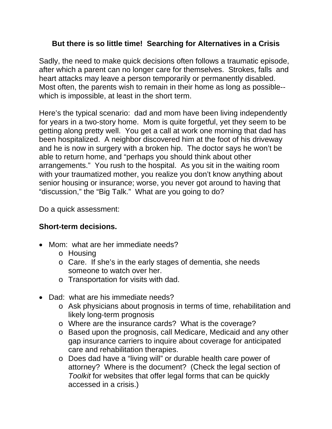## **But there is so little time! Searching for Alternatives in a Crisis**

Sadly, the need to make quick decisions often follows a traumatic episode, after which a parent can no longer care for themselves. Strokes, falls and heart attacks may leave a person temporarily or permanently disabled. Most often, the parents wish to remain in their home as long as possible- which is impossible, at least in the short term.

Here's the typical scenario: dad and mom have been living independently for years in a two-story home. Mom is quite forgetful, yet they seem to be getting along pretty well. You get a call at work one morning that dad has been hospitalized. A neighbor discovered him at the foot of his driveway and he is now in surgery with a broken hip. The doctor says he won't be able to return home, and "perhaps you should think about other arrangements." You rush to the hospital. As you sit in the waiting room with your traumatized mother, you realize you don't know anything about senior housing or insurance; worse, you never got around to having that "discussion," the "Big Talk." What are you going to do?

Do a quick assessment:

## **Short-term decisions.**

- Mom: what are her immediate needs?
	- o Housing
	- o Care. If she's in the early stages of dementia, she needs someone to watch over her.
	- o Transportation for visits with dad.
- Dad: what are his immediate needs?
	- o Ask physicians about prognosis in terms of time, rehabilitation and likely long-term prognosis
	- o Where are the insurance cards? What is the coverage?
	- o Based upon the prognosis, call Medicare, Medicaid and any other gap insurance carriers to inquire about coverage for anticipated care and rehabilitation therapies.
	- o Does dad have a "living will" or durable health care power of attorney? Where is the document? (Check the legal section of *Toolkit* for websites that offer legal forms that can be quickly accessed in a crisis.)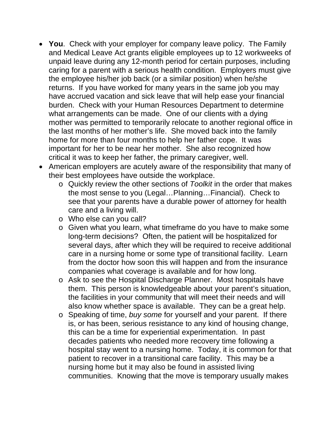- **You**. Check with your employer for company leave policy. The Family and Medical Leave Act grants eligible employees up to 12 workweeks of unpaid leave during any 12-month period for certain purposes, including caring for a parent with a serious health condition. Employers must give the employee his/her job back (or a similar position) when he/she returns. If you have worked for many years in the same job you may have accrued vacation and sick leave that will help ease your financial burden. Check with your Human Resources Department to determine what arrangements can be made. One of our clients with a dying mother was permitted to temporarily relocate to another regional office in the last months of her mother's life. She moved back into the family home for more than four months to help her father cope. It was important for her to be near her mother. She also recognized how critical it was to keep her father, the primary caregiver, well.
- American employers are acutely aware of the responsibility that many of their best employees have outside the workplace.
	- o Quickly review the other sections of *Toolkit* in the order that makes the most sense to you (Legal…Planning…Financial). Check to see that your parents have a durable power of attorney for health care and a living will.
	- o Who else can you call?
	- o Given what you learn, what timeframe do you have to make some long-term decisions? Often, the patient will be hospitalized for several days, after which they will be required to receive additional care in a nursing home or some type of transitional facility. Learn from the doctor how soon this will happen and from the insurance companies what coverage is available and for how long.
	- o Ask to see the Hospital Discharge Planner. Most hospitals have them. This person is knowledgeable about your parent's situation, the facilities in your community that will meet their needs and will also know whether space is available. They can be a great help.
	- o Speaking of time, *buy some* for yourself and your parent. If there is, or has been, serious resistance to any kind of housing change, this can be a time for experiential experimentation. In past decades patients who needed more recovery time following a hospital stay went to a nursing home. Today, it is common for that patient to recover in a transitional care facility. This may be a nursing home but it may also be found in assisted living communities. Knowing that the move is temporary usually makes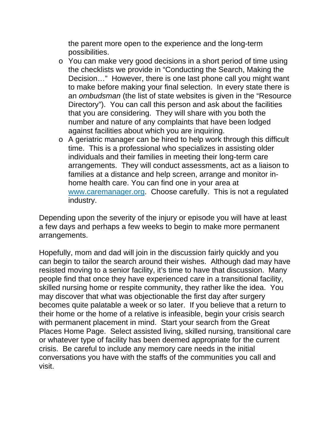the parent more open to the experience and the long-term possibilities.

- o You can make very good decisions in a short period of time using the checklists we provide in "Conducting the Search, Making the Decision…" However, there is one last phone call you might want to make before making your final selection. In every state there is an *ombudsman* (the list of state websites is given in the "Resource Directory"). You can call this person and ask about the facilities that you are considering. They will share with you both the number and nature of any complaints that have been lodged against facilities about which you are inquiring.
- o A geriatric manager can be hired to help work through this difficult time. This is a professional who specializes in assisting older individuals and their families in meeting their long-term care arrangements. They will conduct assessments, act as a liaison to families at a distance and help screen, arrange and monitor inhome health care. You can find one in your area at www.caremanager.org. Choose carefully. This is not a regulated industry.

Depending upon the severity of the injury or episode you will have at least a few days and perhaps a few weeks to begin to make more permanent arrangements.

Hopefully, mom and dad will join in the discussion fairly quickly and you can begin to tailor the search around their wishes. Although dad may have resisted moving to a senior facility, it's time to have that discussion. Many people find that once they have experienced care in a transitional facility, skilled nursing home or respite community, they rather like the idea. You may discover that what was objectionable the first day after surgery becomes quite palatable a week or so later. If you believe that a return to their home or the home of a relative is infeasible, begin your crisis search with permanent placement in mind. Start your search from the Great Places Home Page. Select assisted living, skilled nursing, transitional care or whatever type of facility has been deemed appropriate for the current crisis. Be careful to include any memory care needs in the initial conversations you have with the staffs of the communities you call and visit.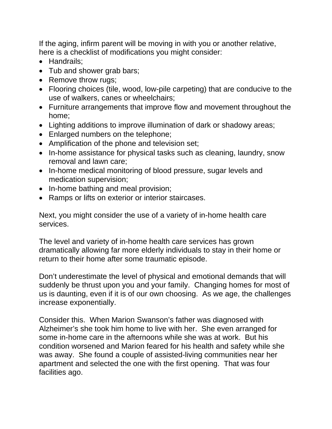If the aging, infirm parent will be moving in with you or another relative, here is a checklist of modifications you might consider:

- Handrails;
- Tub and shower grab bars;
- Remove throw rugs;
- Flooring choices (tile, wood, low-pile carpeting) that are conducive to the use of walkers, canes or wheelchairs;
- Furniture arrangements that improve flow and movement throughout the home;
- Lighting additions to improve illumination of dark or shadowy areas;
- Enlarged numbers on the telephone;
- Amplification of the phone and television set;
- In-home assistance for physical tasks such as cleaning, laundry, snow removal and lawn care;
- In-home medical monitoring of blood pressure, sugar levels and medication supervision;
- In-home bathing and meal provision;
- Ramps or lifts on exterior or interior staircases.

Next, you might consider the use of a variety of in-home health care services.

The level and variety of in-home health care services has grown dramatically allowing far more elderly individuals to stay in their home or return to their home after some traumatic episode.

Don't underestimate the level of physical and emotional demands that will suddenly be thrust upon you and your family. Changing homes for most of us is daunting, even if it is of our own choosing. As we age, the challenges increase exponentially.

Consider this. When Marion Swanson's father was diagnosed with Alzheimer's she took him home to live with her. She even arranged for some in-home care in the afternoons while she was at work. But his condition worsened and Marion feared for his health and safety while she was away. She found a couple of assisted-living communities near her apartment and selected the one with the first opening. That was four facilities ago.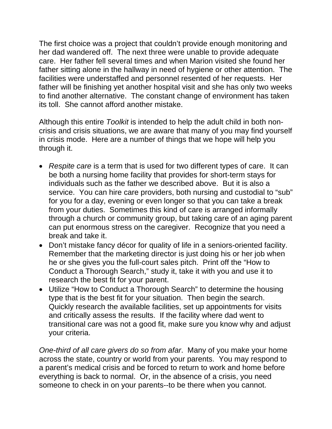The first choice was a project that couldn't provide enough monitoring and her dad wandered off. The next three were unable to provide adequate care. Her father fell several times and when Marion visited she found her father sitting alone in the hallway in need of hygiene or other attention. The facilities were understaffed and personnel resented of her requests. Her father will be finishing yet another hospital visit and she has only two weeks to find another alternative. The constant change of environment has taken its toll. She cannot afford another mistake.

Although this entire *Toolkit* is intended to help the adult child in both noncrisis and crisis situations, we are aware that many of you may find yourself in crisis mode. Here are a number of things that we hope will help you through it.

- *Respite care* is a term that is used for two different types of care. It can be both a nursing home facility that provides for short-term stays for individuals such as the father we described above. But it is also a service. You can hire care providers, both nursing and custodial to "sub" for you for a day, evening or even longer so that you can take a break from your duties. Sometimes this kind of care is arranged informally through a church or community group, but taking care of an aging parent can put enormous stress on the caregiver. Recognize that you need a break and take it.
- Don't mistake fancy décor for quality of life in a seniors-oriented facility. Remember that the marketing director is just doing his or her job when he or she gives you the full-court sales pitch. Print off the "How to Conduct a Thorough Search," study it, take it with you and use it to research the best fit for your parent.
- Utilize "How to Conduct a Thorough Search" to determine the housing type that is the best fit for your situation. Then begin the search. Quickly research the available facilities, set up appointments for visits and critically assess the results. If the facility where dad went to transitional care was not a good fit, make sure you know why and adjust your criteria.

*One-third of all care givers do so from afar*. Many of you make your home across the state, country or world from your parents. You may respond to a parent's medical crisis and be forced to return to work and home before everything is back to normal. Or, in the absence of a crisis, you need someone to check in on your parents--to be there when you cannot.